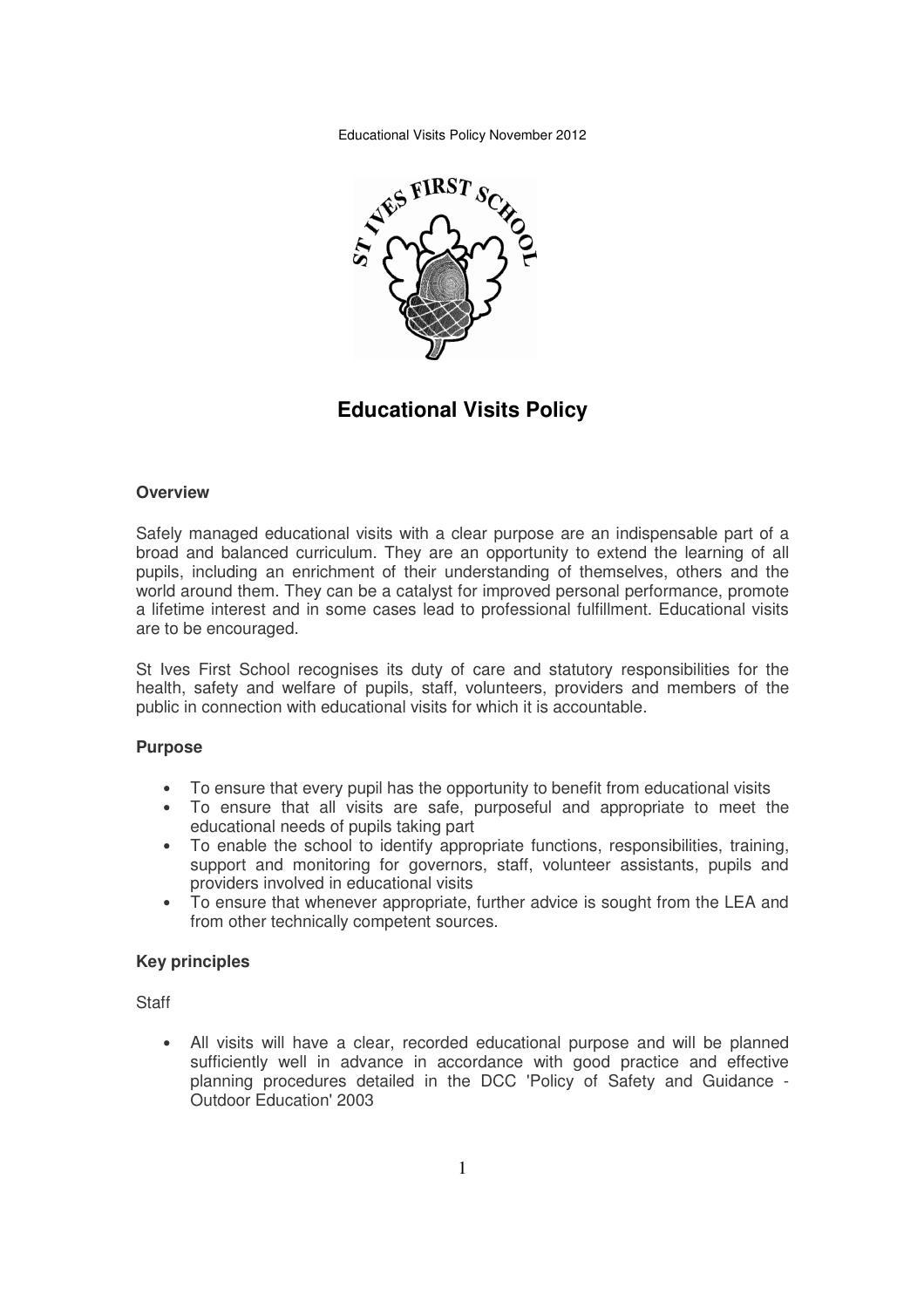Educational Visits Policy November 2012



**Educational Visits Policy** 

#### **Overview**

Safely managed educational visits with a clear purpose are an indispensable part of a broad and balanced curriculum. They are an opportunity to extend the learning of all pupils, including an enrichment of their understanding of themselves, others and the world around them. They can be a catalyst for improved personal performance, promote a lifetime interest and in some cases lead to professional fulfillment. Educational visits are to be encouraged.

St Ives First School recognises its duty of care and statutory responsibilities for the health, safety and welfare of pupils, staff, volunteers, providers and members of the public in connection with educational visits for which it is accountable.

### **Purpose**

- To ensure that every pupil has the opportunity to benefit from educational visits
- To ensure that all visits are safe, purposeful and appropriate to meet the educational needs of pupils taking part
- To enable the school to identify appropriate functions, responsibilities, training, support and monitoring for governors, staff, volunteer assistants, pupils and providers involved in educational visits
- To ensure that whenever appropriate, further advice is sought from the LEA and from other technically competent sources.

#### **Key principles**

**Staff** 

• All visits will have a clear, recorded educational purpose and will be planned sufficiently well in advance in accordance with good practice and effective planning procedures detailed in the DCC 'Policy of Safety and Guidance - Outdoor Education' 2003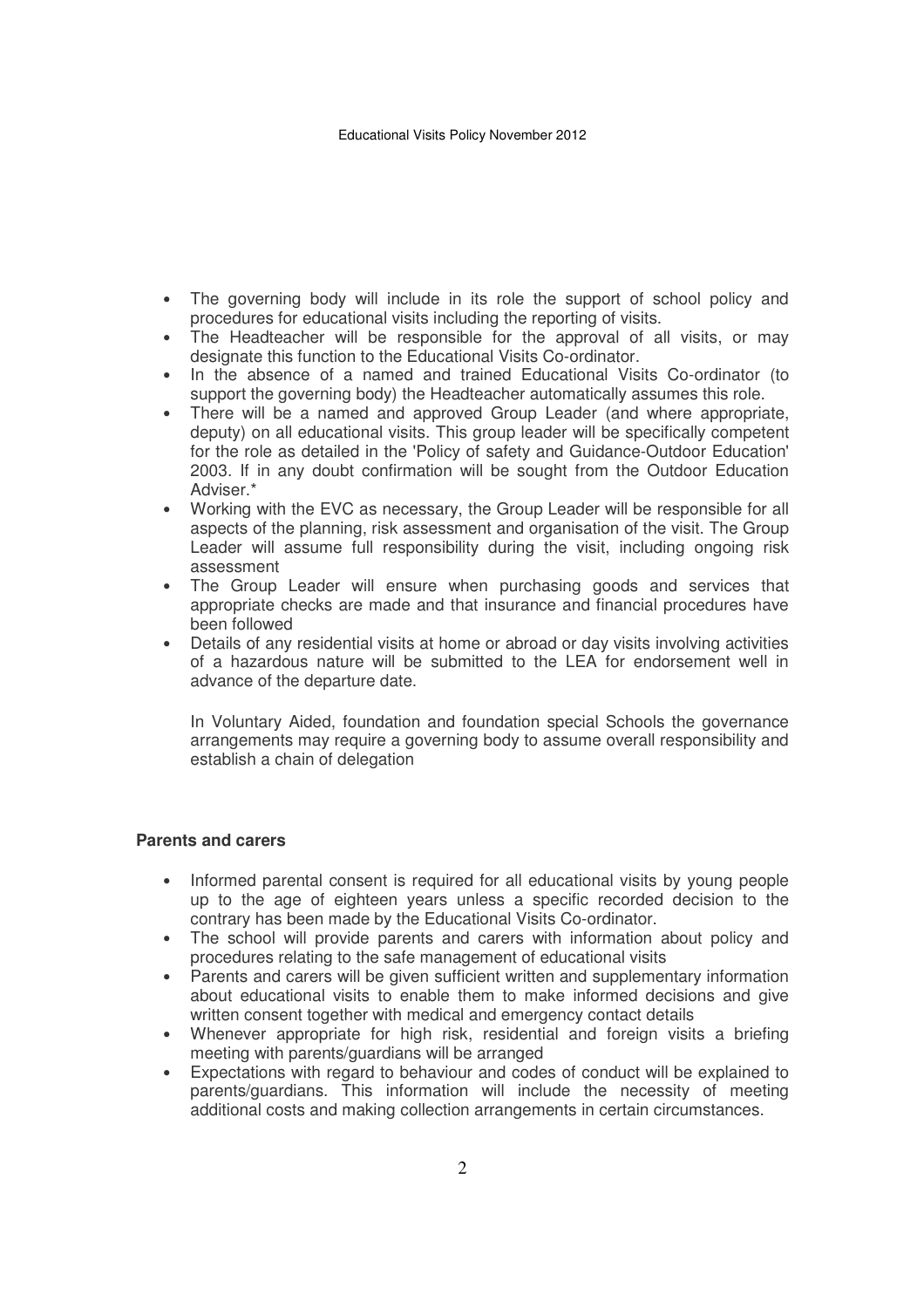- The governing body will include in its role the support of school policy and procedures for educational visits including the reporting of visits.
- The Headteacher will be responsible for the approval of all visits, or may designate this function to the Educational Visits Co-ordinator.
- In the absence of a named and trained Educational Visits Co-ordinator (to support the governing body) the Headteacher automatically assumes this role.
- There will be a named and approved Group Leader (and where appropriate, deputy) on all educational visits. This group leader will be specifically competent for the role as detailed in the 'Policy of safety and Guidance-Outdoor Education' 2003. If in any doubt confirmation will be sought from the Outdoor Education Adviser.\*
- Working with the EVC as necessary, the Group Leader will be responsible for all aspects of the planning, risk assessment and organisation of the visit. The Group Leader will assume full responsibility during the visit, including ongoing risk assessment
- The Group Leader will ensure when purchasing goods and services that appropriate checks are made and that insurance and financial procedures have been followed
- Details of any residential visits at home or abroad or day visits involving activities of a hazardous nature will be submitted to the LEA for endorsement well in advance of the departure date.

In Voluntary Aided, foundation and foundation special Schools the governance arrangements may require a governing body to assume overall responsibility and establish a chain of delegation

### **Parents and carers**

- Informed parental consent is required for all educational visits by young people up to the age of eighteen years unless a specific recorded decision to the contrary has been made by the Educational Visits Co-ordinator.
- The school will provide parents and carers with information about policy and procedures relating to the safe management of educational visits
- Parents and carers will be given sufficient written and supplementary information about educational visits to enable them to make informed decisions and give written consent together with medical and emergency contact details
- Whenever appropriate for high risk, residential and foreign visits a briefing meeting with parents/guardians will be arranged
- Expectations with regard to behaviour and codes of conduct will be explained to parents/guardians. This information will include the necessity of meeting additional costs and making collection arrangements in certain circumstances.